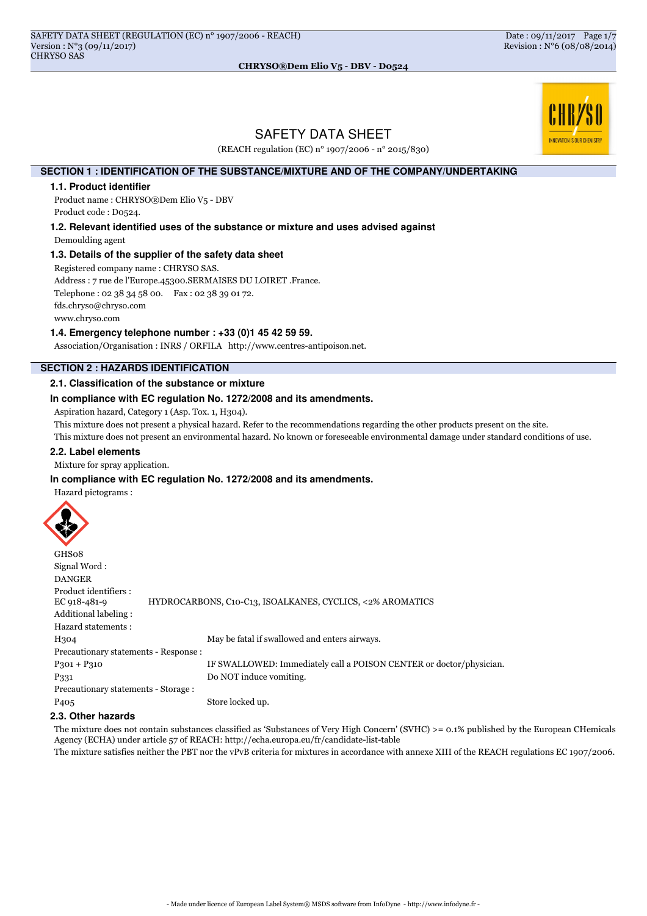

# SAFETY DATA SHEET

(REACH regulation (EC) n° 1907/2006 - n° 2015/830)

## **SECTION 1 : IDENTIFICATION OF THE SUBSTANCE/MIXTURE AND OF THE COMPANY/UNDERTAKING**

#### **1.1. Product identifier**

Product name : CHRYSO®Dem Elio V5 - DBV Product code : D0524.

**1.2. Relevant identified uses of the substance or mixture and uses advised against**

Demoulding agent

# **1.3. Details of the supplier of the safety data sheet**

Registered company name : CHRYSO SAS.

Address : 7 rue de l'Europe.45300.SERMAISES DU LOIRET .France.

Telephone : 02 38 34 58 00. Fax : 02 38 39 01 72.

fds.chryso@chryso.com

www.chryso.com

## **1.4. Emergency telephone number : +33 (0)1 45 42 59 59.**

Association/Organisation : INRS / ORFILA http://www.centres-antipoison.net.

# **SECTION 2 : HAZARDS IDENTIFICATION**

#### **2.1. Classification of the substance or mixture**

#### **In compliance with EC regulation No. 1272/2008 and its amendments.**

Aspiration hazard, Category 1 (Asp. Tox. 1, H304).

This mixture does not present a physical hazard. Refer to the recommendations regarding the other products present on the site.

This mixture does not present an environmental hazard. No known or foreseeable environmental damage under standard conditions of use.

#### **2.2. Label elements**

Mixture for spray application.

#### **In compliance with EC regulation No. 1272/2008 and its amendments.**

Hazard pictograms :



| GHS08                                 |                                                                     |
|---------------------------------------|---------------------------------------------------------------------|
| Signal Word:                          |                                                                     |
| <b>DANGER</b>                         |                                                                     |
| Product identifiers :<br>EC 918-481-9 | HYDROCARBONS, C10-C13, ISOALKANES, CYCLICS, <2% AROMATICS           |
| Additional labeling:                  |                                                                     |
| Hazard statements:                    |                                                                     |
| H304                                  | May be fatal if swallowed and enters airways.                       |
| Precautionary statements - Response : |                                                                     |
| $P_301 + P_310$                       | IF SWALLOWED: Immediately call a POISON CENTER or doctor/physician. |
| P <sub>331</sub>                      | Do NOT induce vomiting.                                             |
| Precautionary statements - Storage :  |                                                                     |
| P <sub>405</sub>                      | Store locked up.                                                    |

# **2.3. Other hazards**

The mixture does not contain substances classified as 'Substances of Very High Concern' (SVHC) >= 0.1% published by the European CHemicals Agency (ECHA) under article 57 of REACH: http://echa.europa.eu/fr/candidate-list-table

The mixture satisfies neither the PBT nor the vPvB criteria for mixtures in accordance with annexe XIII of the REACH regulations EC 1907/2006.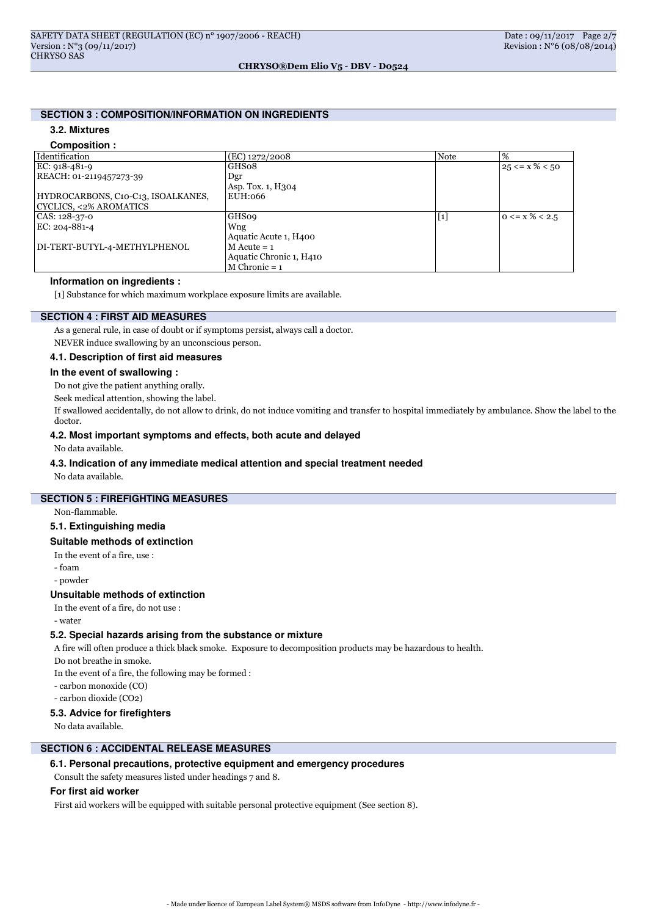# **SECTION 3 : COMPOSITION/INFORMATION ON INGREDIENTS**

# **3.2. Mixtures**

#### **Composition :**

| Identification                     | (EC) 1272/2008          | <b>Note</b> | $\%$                   |
|------------------------------------|-------------------------|-------------|------------------------|
| EC: 918-481-9                      | GHS08                   |             | $25 \le x\% \le 50$    |
| REACH: 01-2119457273-39            | Dgr                     |             |                        |
|                                    | Asp. Tox. 1, H304       |             |                        |
| HYDROCARBONS, C10-C13, ISOALKANES, | EUH:066                 |             |                        |
| CYCLICS, <2% AROMATICS             |                         |             |                        |
| CAS: 128-37-0                      | <b>GHS09</b>            | $[1]$       | $0 \leq x \% \leq 2.5$ |
| EC: 204-881-4                      | Wng                     |             |                        |
|                                    | Aquatic Acute 1, H400   |             |                        |
| DI-TERT-BUTYL-4-METHYLPHENOL       | $M$ Acute = 1           |             |                        |
|                                    | Aquatic Chronic 1, H410 |             |                        |
|                                    | $M$ Chronic = 1         |             |                        |

# **Information on ingredients :**

[1] Substance for which maximum workplace exposure limits are available.

# **SECTION 4 : FIRST AID MEASURES**

As a general rule, in case of doubt or if symptoms persist, always call a doctor.

NEVER induce swallowing by an unconscious person.

#### **4.1. Description of first aid measures**

#### **In the event of swallowing :**

Do not give the patient anything orally.

Seek medical attention, showing the label.

If swallowed accidentally, do not allow to drink, do not induce vomiting and transfer to hospital immediately by ambulance. Show the label to the doctor.

# **4.2. Most important symptoms and effects, both acute and delayed**

No data available.

#### **4.3. Indication of any immediate medical attention and special treatment needed**

No data available.

# **SECTION 5 : FIREFIGHTING MEASURES**

Non-flammable.

#### **5.1. Extinguishing media**

#### **Suitable methods of extinction**

In the event of a fire, use :

- foam

- powder

#### **Unsuitable methods of extinction**

In the event of a fire, do not use :

- water

#### **5.2. Special hazards arising from the substance or mixture**

A fire will often produce a thick black smoke. Exposure to decomposition products may be hazardous to health.

Do not breathe in smoke.

In the event of a fire, the following may be formed :

- carbon monoxide (CO)

- carbon dioxide (CO2)

#### **5.3. Advice for firefighters**

No data available.

# **SECTION 6 : ACCIDENTAL RELEASE MEASURES**

# **6.1. Personal precautions, protective equipment and emergency procedures**

Consult the safety measures listed under headings 7 and 8.

# **For first aid worker**

First aid workers will be equipped with suitable personal protective equipment (See section 8).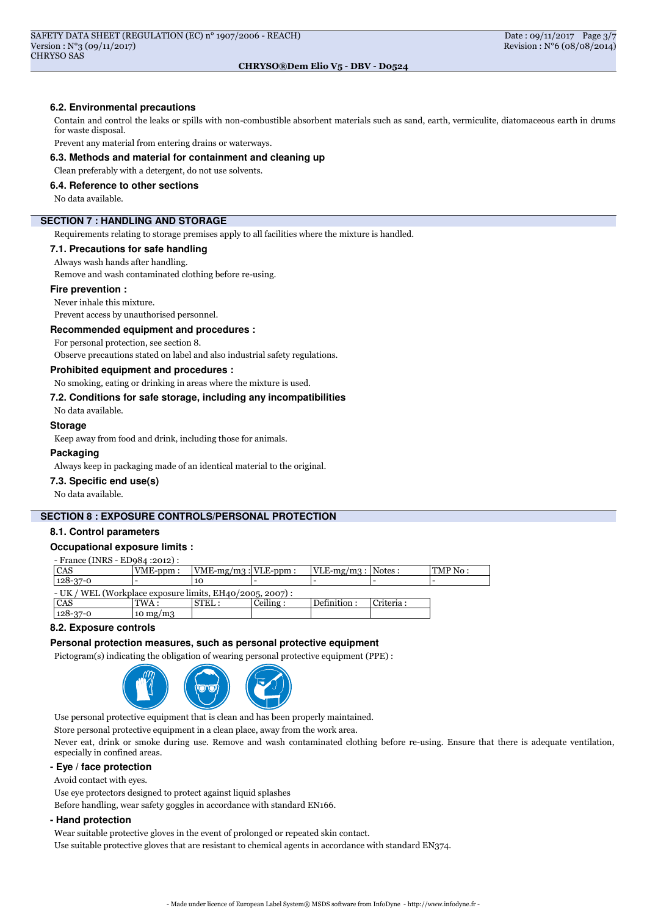#### **6.2. Environmental precautions**

Contain and control the leaks or spills with non-combustible absorbent materials such as sand, earth, vermiculite, diatomaceous earth in drums for waste disposal.

Prevent any material from entering drains or waterways.

#### **6.3. Methods and material for containment and cleaning up**

Clean preferably with a detergent, do not use solvents.

## **6.4. Reference to other sections**

No data available.

# **SECTION 7 : HANDLING AND STORAGE**

Requirements relating to storage premises apply to all facilities where the mixture is handled.

#### **7.1. Precautions for safe handling**

Always wash hands after handling.

Remove and wash contaminated clothing before re-using.

#### **Fire prevention :**

Never inhale this mixture.

Prevent access by unauthorised personnel.

#### **Recommended equipment and procedures :**

For personal protection, see section 8.

Observe precautions stated on label and also industrial safety regulations.

# **Prohibited equipment and procedures :**

No smoking, eating or drinking in areas where the mixture is used.

# **7.2. Conditions for safe storage, including any incompatibilities**

No data available.

# **Storage**

Keep away from food and drink, including those for animals.

#### **Packaging**

Always keep in packaging made of an identical material to the original.

#### **7.3. Specific end use(s)**

No data available.

#### **SECTION 8 : EXPOSURE CONTROLS/PERSONAL PROTECTION**

# **8.1. Control parameters**

#### **Occupational exposure limits :**

- France (INRS - ED984 :2012) :

| CAS                                                         | VME-ppm:   | $ VME-mg/m3 $ : $ VLE-ppm $ |           | $ VLE-mg/m3 $ : Notes : |           | $\text{TMP No}:$ |
|-------------------------------------------------------------|------------|-----------------------------|-----------|-------------------------|-----------|------------------|
| $128 - 37 - 0$                                              |            | 10                          |           |                         |           |                  |
| $- UK / WEL (Workplace exposure limits, EH40/2005, 2007)$ : |            |                             |           |                         |           |                  |
| CAS                                                         | TWA :      | STEL:                       | Ceiling : | Definition :            | Criteria: |                  |
| $128 - 37 - 0$                                              | $\log/m_3$ |                             |           |                         |           |                  |

#### **8.2. Exposure controls**

#### **Personal protection measures, such as personal protective equipment**

Pictogram(s) indicating the obligation of wearing personal protective equipment (PPE) :



Use personal protective equipment that is clean and has been properly maintained.

Store personal protective equipment in a clean place, away from the work area.

Never eat, drink or smoke during use. Remove and wash contaminated clothing before re-using. Ensure that there is adequate ventilation, especially in confined areas.

# **- Eye / face protection**

Avoid contact with eyes.

Use eye protectors designed to protect against liquid splashes

Before handling, wear safety goggles in accordance with standard EN166.

# **- Hand protection**

Wear suitable protective gloves in the event of prolonged or repeated skin contact.

Use suitable protective gloves that are resistant to chemical agents in accordance with standard EN374.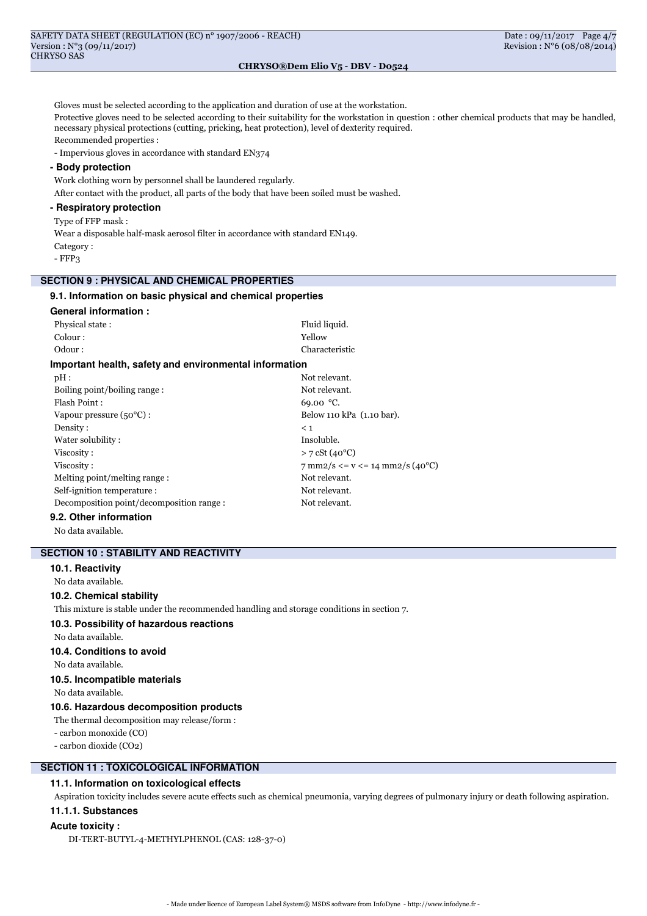Gloves must be selected according to the application and duration of use at the workstation. Protective gloves need to be selected according to their suitability for the workstation in question : other chemical products that may be handled, necessary physical protections (cutting, pricking, heat protection), level of dexterity required. Recommended properties : - Impervious gloves in accordance with standard EN374 **- Body protection** Work clothing worn by personnel shall be laundered regularly. After contact with the product, all parts of the body that have been soiled must be washed. **- Respiratory protection** Type of FFP mask : Wear a disposable half-mask aerosol filter in accordance with standard EN149. Category : - FFP3 **SECTION 9 : PHYSICAL AND CHEMICAL PROPERTIES 9.1. Information on basic physical and chemical properties General information :** Physical state : Fluid liquid. Colour : Yellow Odour : Characteristic **Important health, safety and environmental information** pH : Not relevant. Boiling point/boiling range : Not relevant. Flash Point : 69.00 °C. Vapour pressure (50°C) : Below 110 kPa (1.10 bar). Density :  $\leq 1$ Water solubility : Insoluble. Viscosity :  $> 7 \text{ cSt } (40^{\circ} \text{C})$ Viscosity :  $7 \text{ mm2/s} \le v \le 14 \text{ mm2/s} \text{ (40°C)}$ Melting point/melting range : Not relevant. Self-ignition temperature : Not relevant. Decomposition point/decomposition range : Not relevant. **9.2. Other information** No data available.

# **SECTION 10 : STABILITY AND REACTIVITY**

**10.1. Reactivity**

No data available.

# **10.2. Chemical stability**

This mixture is stable under the recommended handling and storage conditions in section 7.

# **10.3. Possibility of hazardous reactions**

No data available.

# **10.4. Conditions to avoid**

No data available.

# **10.5. Incompatible materials**

No data available.

# **10.6. Hazardous decomposition products**

The thermal decomposition may release/form : - carbon monoxide (CO)

- carbon dioxide (CO2)

# **SECTION 11 : TOXICOLOGICAL INFORMATION**

# **11.1. Information on toxicological effects**

Aspiration toxicity includes severe acute effects such as chemical pneumonia, varying degrees of pulmonary injury or death following aspiration. **11.1.1. Substances**

# **Acute toxicity :**

DI-TERT-BUTYL-4-METHYLPHENOL (CAS: 128-37-0)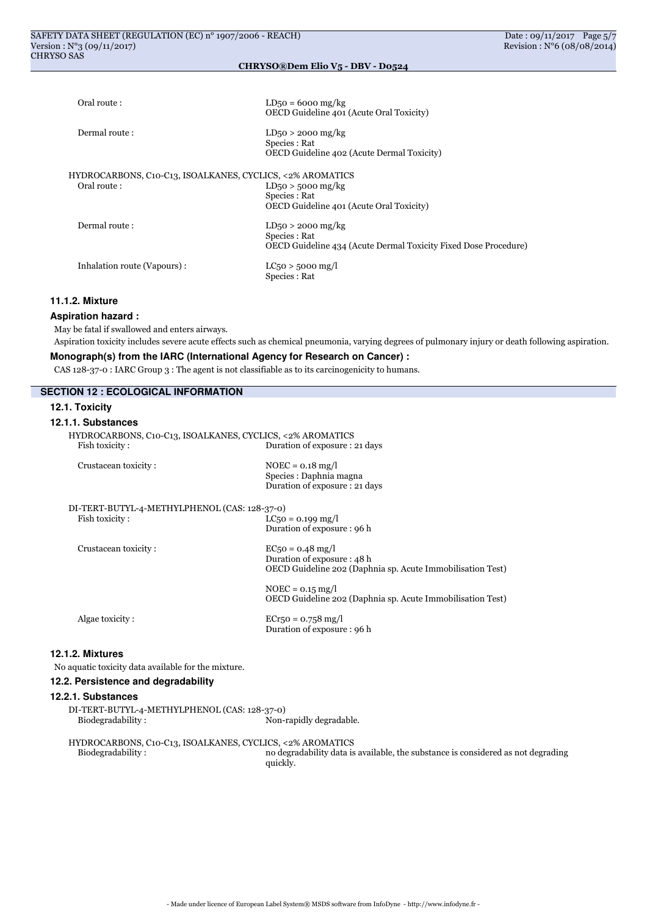| Oral route:                                               | $LD50 = 6000$ mg/kg<br>OECD Guideline 401 (Acute Oral Toxicity)                       |
|-----------------------------------------------------------|---------------------------------------------------------------------------------------|
| Dermal route:                                             | $LD_{50} > 2000$ mg/kg<br>Species : Rat<br>OECD Guideline 402 (Acute Dermal Toxicity) |
| HYDROCARBONS, C10-C13, ISOALKANES, CYCLICS, <2% AROMATICS |                                                                                       |
| Oral route:                                               | $LD50 > 5000$ mg/kg                                                                   |
|                                                           | Species : Rat                                                                         |
|                                                           | OECD Guideline 401 (Acute Oral Toxicity)                                              |
| Dermal route:                                             | $LD_{50} > 2000$ mg/kg                                                                |
|                                                           | Species : Rat                                                                         |
|                                                           | OECD Guideline 434 (Acute Dermal Toxicity Fixed Dose Procedure)                       |
| Inhalation route (Vapours):                               | $LC_{50} > 5000$ mg/l                                                                 |
|                                                           | Species : Rat                                                                         |
|                                                           |                                                                                       |

## **11.1.2. Mixture**

### **Aspiration hazard :**

May be fatal if swallowed and enters airways.

Aspiration toxicity includes severe acute effects such as chemical pneumonia, varying degrees of pulmonary injury or death following aspiration.

# **Monograph(s) from the IARC (International Agency for Research on Cancer) :**

CAS 128-37-0 : IARC Group 3 : The agent is not classifiable as to its carcinogenicity to humans.

| <b>SECTION 12 : ECOLOGICAL INFORMATION</b>                                  |                                                                                                                |
|-----------------------------------------------------------------------------|----------------------------------------------------------------------------------------------------------------|
| 12.1. Toxicity                                                              |                                                                                                                |
| 12.1.1. Substances                                                          |                                                                                                                |
| HYDROCARBONS, C10-C13, ISOALKANES, CYCLICS, <2% AROMATICS<br>Fish toxicity: | Duration of exposure : 21 days                                                                                 |
| Crustacean toxicity:                                                        | $NOEC = 0.18$ mg/l<br>Species : Daphnia magna<br>Duration of exposure: 21 days                                 |
| DI-TERT-BUTYL-4-METHYLPHENOL (CAS: 128-37-0)                                |                                                                                                                |
| Fish toxicity:                                                              | $LC_5$ o = 0.199 mg/l<br>Duration of exposure : 96 h                                                           |
| Crustacean toxicity:                                                        | $EC5o = 0.48$ mg/l<br>Duration of exposure: 48 h<br>OECD Guideline 202 (Daphnia sp. Acute Immobilisation Test) |
|                                                                             | $NOEC = 0.15$ mg/l<br>OECD Guideline 202 (Daphnia sp. Acute Immobilisation Test)                               |
| Algae toxicity:                                                             | $ECr_{50} = 0.758$ mg/l<br>Duration of exposure: 96 h                                                          |
| 12.1.2. Mixtures                                                            |                                                                                                                |
| No aquatic toxicity data available for the mixture.                         |                                                                                                                |
| 12.2. Persistence and degradability                                         |                                                                                                                |
| 12.2.1. Substances                                                          |                                                                                                                |
| DI-TERT-BUTYL-4-METHYLPHENOL (CAS: 128-37-0)<br>Biodegradability:           | Non-rapidly degradable.                                                                                        |
| HYDROCARBONS, C10-C13, ISOALKANES, CYCLICS, <2% AROMATICS                   |                                                                                                                |

Biodegradability : no degradability data is available, the substance is considered as not degrading quickly.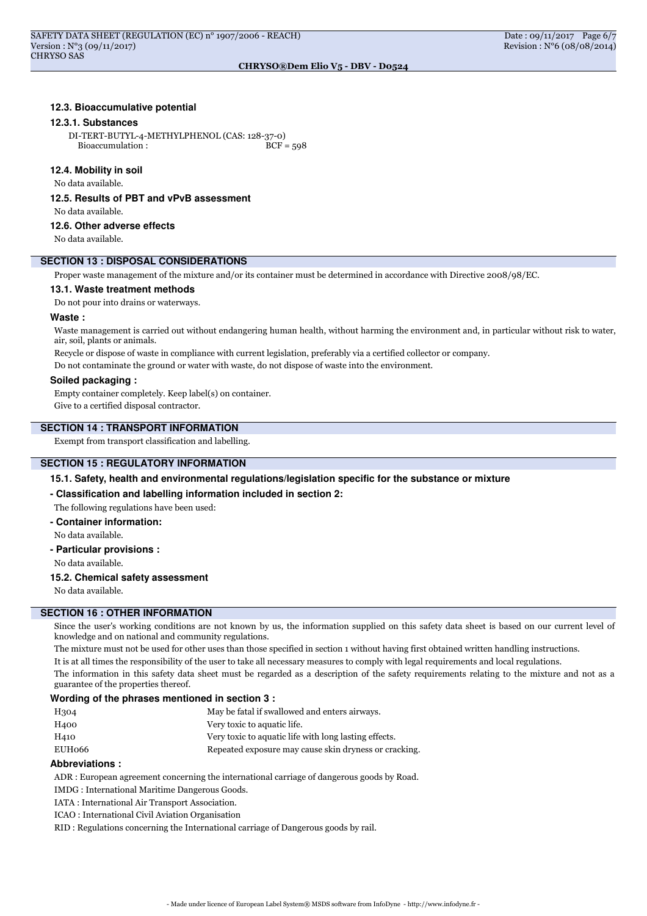# **12.3. Bioaccumulative potential**

#### **12.3.1. Substances**

DI-TERT-BUTYL-4-METHYLPHENOL (CAS: 128-37-0) Bioaccumulation : BCF = 598

#### **12.4. Mobility in soil**

No data available.

**12.5. Results of PBT and vPvB assessment**

No data available.

#### **12.6. Other adverse effects**

No data available.

# **SECTION 13 : DISPOSAL CONSIDERATIONS**

Proper waste management of the mixture and/or its container must be determined in accordance with Directive 2008/98/EC.

#### **13.1. Waste treatment methods**

Do not pour into drains or waterways.

# **Waste :**

Waste management is carried out without endangering human health, without harming the environment and, in particular without risk to water, air, soil, plants or animals.

Recycle or dispose of waste in compliance with current legislation, preferably via a certified collector or company.

Do not contaminate the ground or water with waste, do not dispose of waste into the environment.

#### **Soiled packaging :**

Empty container completely. Keep label(s) on container. Give to a certified disposal contractor.

# **SECTION 14 : TRANSPORT INFORMATION**

Exempt from transport classification and labelling.

# **SECTION 15 : REGULATORY INFORMATION**

**15.1. Safety, health and environmental regulations/legislation specific for the substance or mixture**

**- Classification and labelling information included in section 2:**

The following regulations have been used:

**- Container information:** No data available.

**- Particular provisions :**

No data available.

## **15.2. Chemical safety assessment**

No data available.

# **SECTION 16 : OTHER INFORMATION**

Since the user's working conditions are not known by us, the information supplied on this safety data sheet is based on our current level of knowledge and on national and community regulations.

The mixture must not be used for other uses than those specified in section 1 without having first obtained written handling instructions. It is at all times the responsibility of the user to take all necessary measures to comply with legal requirements and local regulations.

The information in this safety data sheet must be regarded as a description of the safety requirements relating to the mixture and not as a guarantee of the properties thereof.

# **Wording of the phrases mentioned in section 3 :**

| H304             | May be fatal if swallowed and enters airways.         |
|------------------|-------------------------------------------------------|
| H <sub>400</sub> | Very toxic to aquatic life.                           |
| H410             | Very toxic to aquatic life with long lasting effects. |
| EUH066           | Repeated exposure may cause skin dryness or cracking. |

#### **Abbreviations :**

ADR : European agreement concerning the international carriage of dangerous goods by Road.

IMDG : International Maritime Dangerous Goods.

IATA : International Air Transport Association.

ICAO : International Civil Aviation Organisation

RID : Regulations concerning the International carriage of Dangerous goods by rail.